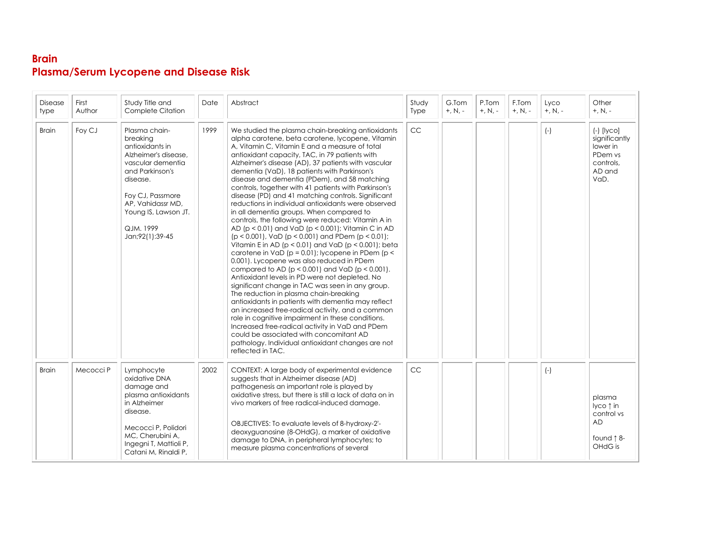## **Brain Plasma/Serum Lycopene and Disease Risk**

| <b>Disease</b><br>type | First<br>Author | Study Title and<br>Complete Citation                                                                                                                                                                                      | Date | Abstract                                                                                                                                                                                                                                                                                                                                                                                                                                                                                                                                                                                                                                                                                                                                                                                                                                                                                                                                                                                                                                                                                                                                                                                                                                                                                                                                                                                                                                                                          | Study<br>Type | G.Tom<br>$+, N, -$ | P.Tom<br>$+, N, -$ | F.Tom<br>$+, N, -$ | Lyco<br>$+, N, -$ | Other<br>$+, N, -$                                                                  |
|------------------------|-----------------|---------------------------------------------------------------------------------------------------------------------------------------------------------------------------------------------------------------------------|------|-----------------------------------------------------------------------------------------------------------------------------------------------------------------------------------------------------------------------------------------------------------------------------------------------------------------------------------------------------------------------------------------------------------------------------------------------------------------------------------------------------------------------------------------------------------------------------------------------------------------------------------------------------------------------------------------------------------------------------------------------------------------------------------------------------------------------------------------------------------------------------------------------------------------------------------------------------------------------------------------------------------------------------------------------------------------------------------------------------------------------------------------------------------------------------------------------------------------------------------------------------------------------------------------------------------------------------------------------------------------------------------------------------------------------------------------------------------------------------------|---------------|--------------------|--------------------|--------------------|-------------------|-------------------------------------------------------------------------------------|
| <b>Brain</b>           | Foy CJ          | Plasma chain-<br>breakina<br>antioxidants in<br>Alzheimer's disease,<br>vascular dementia<br>and Parkinson's<br>disease.<br>Foy CJ, Passmore<br>AP, Vahidassr MD,<br>Young IS, Lawson JT.<br>QJM, 1999<br>Jan;92(1):39-45 | 1999 | We studied the plasma chain-breaking antioxidants<br>alpha carotene, beta carotene, lycopene, Vitamin<br>A, Vitamin C, Vitamin E and a measure of total<br>antioxidant capacity, TAC, in 79 patients with<br>Alzheimer's disease (AD), 37 patients with vascular<br>dementia (VaD), 18 patients with Parkinson's<br>disease and dementia (PDem), and 58 matching<br>controls, together with 41 patients with Parkinson's<br>disease (PD) and 41 matching controls. Significant<br>reductions in individual antioxidants were observed<br>in all dementia groups. When compared to<br>controls, the following were reduced: Vitamin A in<br>AD (p < 0.01) and VaD (p < 0.001); Vitamin C in AD<br>$(p < 0.001)$ , VaD $(p < 0.001)$ and PDem $(p < 0.01)$ ;<br>Vitamin E in AD ( $p < 0.01$ ) and VaD ( $p < 0.001$ ); beta<br>carotene in $VaD (p = 0.01)$ ; lycopene in PDem (p <<br>0.001). Lycopene was also reduced in PDem<br>compared to AD ( $p < 0.001$ ) and VaD ( $p < 0.001$ ).<br>Antioxidant levels in PD were not depleted. No<br>significant change in TAC was seen in any group.<br>The reduction in plasma chain-breaking<br>antioxidants in patients with dementia may reflect<br>an increased free-radical activity, and a common<br>role in cognitive impairment in these conditions.<br>Increased free-radical activity in VaD and PDem<br>could be associated with concomitant AD<br>pathology. Individual antioxidant changes are not<br>reflected in TAC. | CC            |                    |                    |                    | $(-)$             | $(-)$ [lyco]<br>significantly<br>lower in<br>PDem vs<br>controls.<br>AD and<br>VaD. |
| <b>Brain</b>           | Mecocci P       | Lymphocyte<br>oxidative DNA<br>damage and<br>plasma antioxidants<br>in Alzheimer<br>disease.<br>Mecocci P, Polidori<br>MC, Cherubini A,<br>Ingegni T, Mattioli P,<br>Catani M, Rinaldi P,                                 | 2002 | CONTEXT: A large body of experimental evidence<br>suggests that in Alzheimer disease (AD)<br>pathogenesis an important role is played by<br>oxidative stress, but there is still a lack of data on in<br>vivo markers of free radical-induced damage.<br>OBJECTIVES: To evaluate levels of 8-hydroxy-2'-<br>deoxyguanosine (8-OHdG), a marker of oxidative<br>damage to DNA, in peripheral lymphocytes; to<br>measure plasma concentrations of several                                                                                                                                                                                                                                                                                                                                                                                                                                                                                                                                                                                                                                                                                                                                                                                                                                                                                                                                                                                                                            | <b>CC</b>     |                    |                    |                    | $(-)$             | plasma<br>lyco↑in<br>control vs<br><b>AD</b><br>found 18-<br>OHdG is                |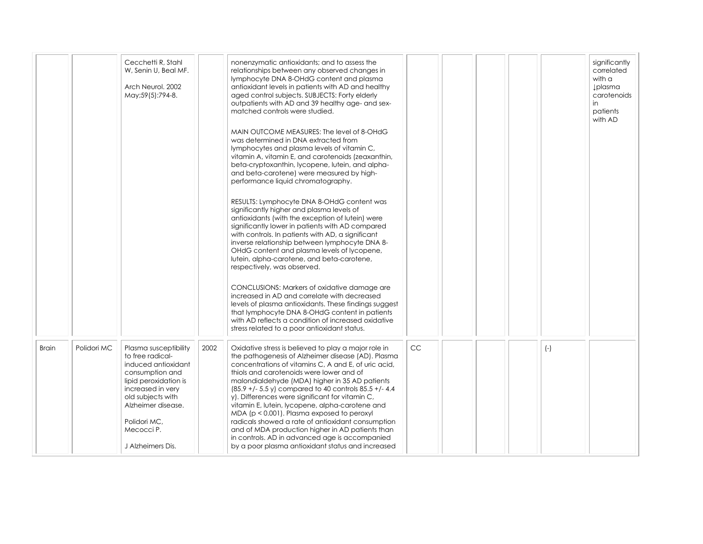|              |             | Cecchetti R. Stahl<br>W. Senin U. Beal MF.<br>Arch Neurol, 2002<br>May;59(5):794-8.                                                                                                                                             |      | nonenzymatic antioxidants; and to assess the<br>relationships between any observed changes in<br>lymphocyte DNA 8-OHdG content and plasma<br>antioxidant levels in patients with AD and healthy<br>aged control subjects. SUBJECTS: Forty elderly<br>outpatients with AD and 39 healthy age- and sex-<br>matched controls were studied.<br>MAIN OUTCOME MEASURES: The level of 8-OHdG<br>was determined in DNA extracted from<br>lymphocytes and plasma levels of vitamin C,<br>vitamin A, vitamin E, and carotenoids (zeaxanthin,<br>beta-cryptoxanthin, lycopene, lutein, and alpha-<br>and beta-carotene) were measured by high-<br>performance liquid chromatography.<br>RESULTS: Lymphocyte DNA 8-OHdG content was<br>significantly higher and plasma levels of<br>antioxidants (with the exception of lutein) were<br>significantly lower in patients with AD compared<br>with controls. In patients with AD, a significant<br>inverse relationship between lymphocyte DNA 8-<br>OHdG content and plasma levels of lycopene,<br>lutein, alpha-carotene, and beta-carotene,<br>respectively, was observed.<br>CONCLUSIONS: Markers of oxidative damage are<br>increased in AD and correlate with decreased<br>levels of plasma antioxidants. These findings suggest<br>that lymphocyte DNA 8-OHdG content in patients<br>with AD reflects a condition of increased oxidative<br>stress related to a poor antioxidant status. |           |  |       | significantly<br>correlated<br>with $\alpha$<br><b>Įplasma</b><br>carotenoids<br>in<br>patients<br>with AD |
|--------------|-------------|---------------------------------------------------------------------------------------------------------------------------------------------------------------------------------------------------------------------------------|------|-----------------------------------------------------------------------------------------------------------------------------------------------------------------------------------------------------------------------------------------------------------------------------------------------------------------------------------------------------------------------------------------------------------------------------------------------------------------------------------------------------------------------------------------------------------------------------------------------------------------------------------------------------------------------------------------------------------------------------------------------------------------------------------------------------------------------------------------------------------------------------------------------------------------------------------------------------------------------------------------------------------------------------------------------------------------------------------------------------------------------------------------------------------------------------------------------------------------------------------------------------------------------------------------------------------------------------------------------------------------------------------------------------------------------------------|-----------|--|-------|------------------------------------------------------------------------------------------------------------|
| <b>Brain</b> | Polidori MC | Plasma susceptibility<br>to free radical-<br>induced antioxidant<br>consumption and<br>lipid peroxidation is<br>increased in very<br>old subjects with<br>Alzheimer disease.<br>Polidori MC,<br>Mecocci P.<br>J Alzheimers Dis. | 2002 | Oxidative stress is believed to play a major role in<br>the pathogenesis of Alzheimer disease (AD). Plasma<br>concentrations of vitamins C, A and E, of uric acid,<br>thiols and carotenoids were lower and of<br>malondialdehyde (MDA) higher in 35 AD patients<br>$(85.9 +/- 5.5$ y) compared to 40 controls $85.5 +/- 4.4$<br>y). Differences were significant for vitamin C,<br>vitamin E, lutein, lycopene, alpha-carotene and<br>MDA ( $p < 0.001$ ). Plasma exposed to peroxyl<br>radicals showed a rate of antioxidant consumption<br>and of MDA production higher in AD patients than<br>in controls. AD in advanced age is accompanied<br>by a poor plasma antioxidant status and increased                                                                                                                                                                                                                                                                                                                                                                                                                                                                                                                                                                                                                                                                                                                             | <b>CC</b> |  | $(-)$ |                                                                                                            |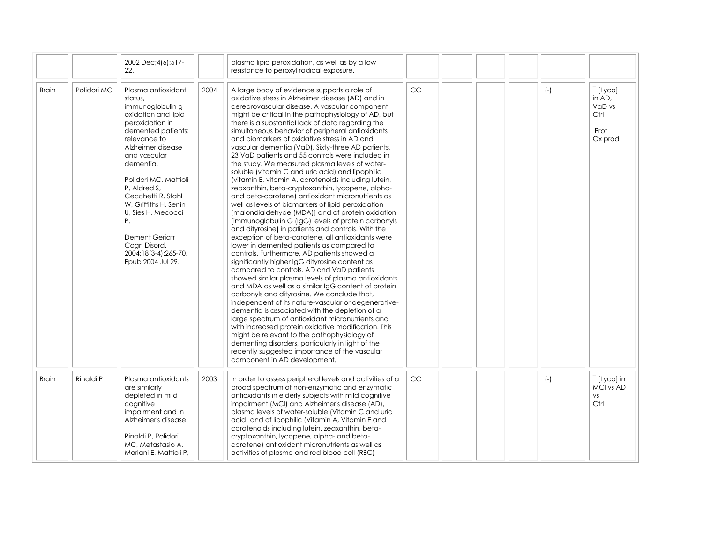|              |             | 2002 Dec; 4(6): 517-<br>22.                                                                                                                                                                                                                                                                                                                                                            |      | plasma lipid peroxidation, as well as by a low<br>resistance to peroxyl radical exposure.                                                                                                                                                                                                                                                                                                                                                                                                                                                                                                                                                                                                                                                                                                                                                                                                                                                                                                                                                                                                                                                                                                                                                                                                                                                                                                                                                                                                                                                                                                                                                                                                                                                                                                     |           |  |       |                                                       |
|--------------|-------------|----------------------------------------------------------------------------------------------------------------------------------------------------------------------------------------------------------------------------------------------------------------------------------------------------------------------------------------------------------------------------------------|------|-----------------------------------------------------------------------------------------------------------------------------------------------------------------------------------------------------------------------------------------------------------------------------------------------------------------------------------------------------------------------------------------------------------------------------------------------------------------------------------------------------------------------------------------------------------------------------------------------------------------------------------------------------------------------------------------------------------------------------------------------------------------------------------------------------------------------------------------------------------------------------------------------------------------------------------------------------------------------------------------------------------------------------------------------------------------------------------------------------------------------------------------------------------------------------------------------------------------------------------------------------------------------------------------------------------------------------------------------------------------------------------------------------------------------------------------------------------------------------------------------------------------------------------------------------------------------------------------------------------------------------------------------------------------------------------------------------------------------------------------------------------------------------------------------|-----------|--|-------|-------------------------------------------------------|
| <b>Brain</b> | Polidori MC | Plasma antioxidant<br>status.<br>immunoglobulin g<br>oxidation and lipid<br>peroxidation in<br>demented patients:<br>relevance to<br>Alzheimer disease<br>and vascular<br>dementia.<br>Polidori MC, Mattioli<br>P, Aldred S,<br>Cecchetti R. Stahl<br>W, Griffiths H, Senin<br>U, Sies H, Mecocci<br>Ρ.<br>Dement Geriatr<br>Cogn Disord.<br>2004;18(3-4):265-70.<br>Epub 2004 Jul 29. | 2004 | A large body of evidence supports a role of<br>oxidative stress in Alzheimer disease (AD) and in<br>cerebrovascular disease. A vascular component<br>might be critical in the pathophysiology of AD, but<br>there is a substantial lack of data regarding the<br>simultaneous behavior of peripheral antioxidants<br>and biomarkers of oxidative stress in AD and<br>vascular dementia (VaD). Sixty-three AD patients,<br>23 VaD patients and 55 controls were included in<br>the study. We measured plasma levels of water-<br>soluble (vitamin C and uric acid) and lipophilic<br>(vitamin E, vitamin A, carotenoids including lutein,<br>zeaxanthin, beta-cryptoxanthin, lycopene, alpha-<br>and beta-carotene) antioxidant micronutrients as<br>well as levels of biomarkers of lipid peroxidation<br>[malondialdehyde (MDA)] and of protein oxidation<br>[immunoglobulin G (IgG) levels of protein carbonyls<br>and dityrosine] in patients and controls. With the<br>exception of beta-carotene, all antioxidants were<br>lower in demented patients as compared to<br>controls. Furthermore, AD patients showed a<br>significantly higher IgG dityrosine content as<br>compared to controls. AD and VaD patients<br>showed similar plasma levels of plasma antioxidants<br>and MDA as well as a similar IgG content of protein<br>carbonyls and dityrosine. We conclude that,<br>independent of its nature-vascular or degenerative-<br>dementia is associated with the depletion of a<br>large spectrum of antioxidant micronutrients and<br>with increased protein oxidative modification. This<br>might be relevant to the pathophysiology of<br>dementing disorders, particularly in light of the<br>recently suggested importance of the vascular<br>component in AD development. | <b>CC</b> |  | $(-)$ | [Lyco]<br>in AD.<br>VaD vs<br>Ctrl<br>Prot<br>Ox prod |
| <b>Brain</b> | Rinaldi P   | Plasma antioxidants<br>are similarly<br>depleted in mild<br>cognitive<br>impairment and in<br>Alzheimer's disease.<br>Rinaldi P, Polidori<br>MC, Metastasio A,<br>Mariani E. Mattioli P.                                                                                                                                                                                               | 2003 | In order to assess peripheral levels and activities of a<br>broad spectrum of non-enzymatic and enzymatic<br>antioxidants in elderly subjects with mild cognitive<br>impairment (MCI) and Alzheimer's disease (AD),<br>plasma levels of water-soluble (Vitamin C and uric<br>acid) and of lipophilic (Vitamin A, Vitamin E and<br>carotenoids including lutein, zeaxanthin, beta-<br>cryptoxanthin, lycopene, alpha- and beta-<br>carotene) antioxidant micronutrients as well as<br>activities of plasma and red blood cell (RBC)                                                                                                                                                                                                                                                                                                                                                                                                                                                                                                                                                                                                                                                                                                                                                                                                                                                                                                                                                                                                                                                                                                                                                                                                                                                            | <b>CC</b> |  | $(-)$ | [Lyco] in<br>MCI vs AD<br>VS.<br>Ctrl                 |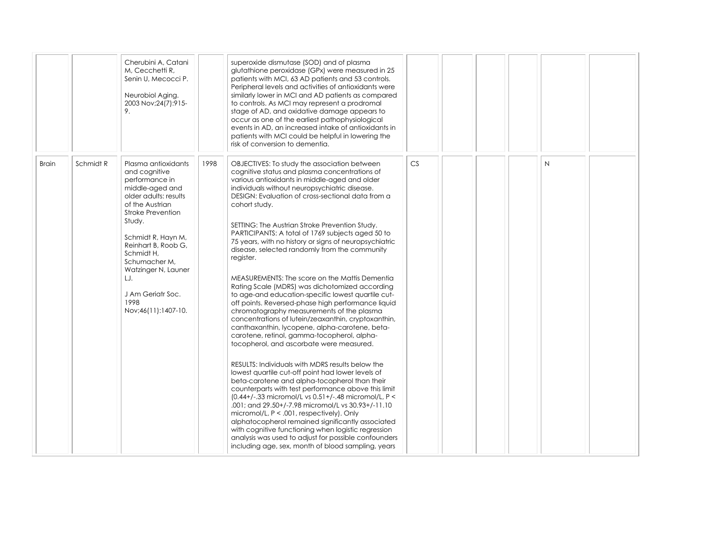|              |           | Cherubini A, Catani<br>M. Cecchetti R.<br>Senin U, Mecocci P.<br>Neurobiol Aging.<br>2003 Nov; 24(7): 915-<br>9.                                                                                                                                                                                                   |      | superoxide dismutase (SOD) and of plasma<br>glutathione peroxidase (GPx) were measured in 25<br>patients with MCI, 63 AD patients and 53 controls.<br>Peripheral levels and activities of antioxidants were<br>similarly lower in MCI and AD patients as compared<br>to controls. As MCI may represent a prodromal<br>stage of AD, and oxidative damage appears to<br>occur as one of the earliest pathophysiological<br>events in AD, an increased intake of antioxidants in<br>patients with MCI could be helpful in lowering the<br>risk of conversion to dementia.                                                                                                                                                                                                                                                                                                                                                                                                                                                                                                                                                                                                                                                                                                                                                                                                                                                                                                                                                                                                         |    |  |              |  |
|--------------|-----------|--------------------------------------------------------------------------------------------------------------------------------------------------------------------------------------------------------------------------------------------------------------------------------------------------------------------|------|--------------------------------------------------------------------------------------------------------------------------------------------------------------------------------------------------------------------------------------------------------------------------------------------------------------------------------------------------------------------------------------------------------------------------------------------------------------------------------------------------------------------------------------------------------------------------------------------------------------------------------------------------------------------------------------------------------------------------------------------------------------------------------------------------------------------------------------------------------------------------------------------------------------------------------------------------------------------------------------------------------------------------------------------------------------------------------------------------------------------------------------------------------------------------------------------------------------------------------------------------------------------------------------------------------------------------------------------------------------------------------------------------------------------------------------------------------------------------------------------------------------------------------------------------------------------------------|----|--|--------------|--|
| <b>Brain</b> | Schmidt R | Plasma antioxidants<br>and cognitive<br>performance in<br>middle-aged and<br>older adults: results<br>of the Austrian<br>Stroke Prevention<br>Study.<br>Schmidt R, Hayn M,<br>Reinhart B, Roob G,<br>Schmidt H,<br>Schumacher M,<br>Watzinger N, Launer<br>LJ.<br>J Am Geriatr Soc.<br>1998<br>Nov;46(11):1407-10. | 1998 | OBJECTIVES: To study the association between<br>cognitive status and plasma concentrations of<br>various antioxidants in middle-aged and older<br>individuals without neuropsychiatric disease.<br>DESIGN: Evaluation of cross-sectional data from a<br>cohort study.<br>SETTING: The Austrian Stroke Prevention Study.<br>PARTICIPANTS: A total of 1769 subjects aged 50 to<br>75 years, with no history or signs of neuropsychiatric<br>disease, selected randomly from the community<br>register.<br>MEASUREMENTS: The score on the Mattis Dementia<br>Rating Scale (MDRS) was dichotomized according<br>to age-and education-specific lowest quartile cut-<br>off points. Reversed-phase high performance liquid<br>chromatography measurements of the plasma<br>concentrations of lutein/zeaxanthin, cryptoxanthin,<br>canthaxanthin, lycopene, alpha-carotene, beta-<br>carotene, retinol, gamma-tocopherol, alpha-<br>tocopherol, and ascorbate were measured.<br>RESULTS: Individuals with MDRS results below the<br>lowest quartile cut-off point had lower levels of<br>beta-carotene and alpha-tocopherol than their<br>counterparts with test performance above this limit<br>(0.44+/-.33 micromol/L vs 0.51+/-.48 micromol/L, P <<br>.001; and 29.50+/-7.98 micromol/L vs 30.93+/-11.10<br>micromol/L, $P < .001$ , respectively). Only<br>alphatocopherol remained significantly associated<br>with cognitive functioning when logistic regression<br>analysis was used to adjust for possible confounders<br>including age, sex, month of blood sampling, years | CS |  | $\mathsf{N}$ |  |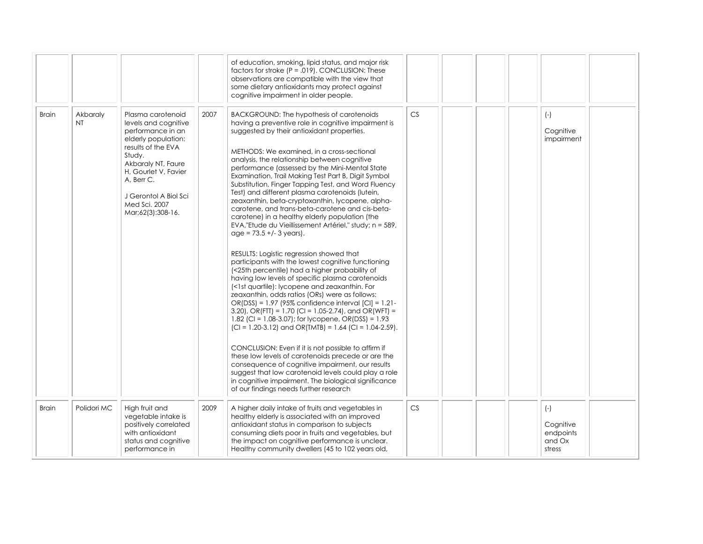|              |                 |                                                                                                                                                                                                                                                  |      | of education, smoking, lipid status, and major risk<br>factors for stroke $(P = .019)$ . CONCLUSION: These<br>observations are compatible with the view that<br>some dietary antioxidants may protect against<br>cognitive impairment in older people.                                                                                                                                                                                                                                                                                                                                                                                                                                                                                                                                                                                                                                                                                                                                                                                                                                                                                                                                                                                                                                                                                                                                                                                                                                                                                                                                       |    |  |                                                     |  |
|--------------|-----------------|--------------------------------------------------------------------------------------------------------------------------------------------------------------------------------------------------------------------------------------------------|------|----------------------------------------------------------------------------------------------------------------------------------------------------------------------------------------------------------------------------------------------------------------------------------------------------------------------------------------------------------------------------------------------------------------------------------------------------------------------------------------------------------------------------------------------------------------------------------------------------------------------------------------------------------------------------------------------------------------------------------------------------------------------------------------------------------------------------------------------------------------------------------------------------------------------------------------------------------------------------------------------------------------------------------------------------------------------------------------------------------------------------------------------------------------------------------------------------------------------------------------------------------------------------------------------------------------------------------------------------------------------------------------------------------------------------------------------------------------------------------------------------------------------------------------------------------------------------------------------|----|--|-----------------------------------------------------|--|
| <b>Brain</b> | Akbaraly<br>NT. | Plasma carotenoid<br>levels and cognitive<br>performance in an<br>elderly population:<br>results of the EVA<br>Study.<br>Akbaraly NT, Faure<br>H, Gourlet V, Favier<br>A, Berr C.<br>J Gerontol A Biol Sci<br>Med Sci, 2007<br>Mar;62(3):308-16. | 2007 | BACKGROUND: The hypothesis of carotenoids<br>having a preventive role in cognitive impairment is<br>suggested by their antioxidant properties.<br>METHODS: We examined, in a cross-sectional<br>analysis, the relationship between cognitive<br>performance (assessed by the Mini-Mental State<br>Examination, Trail Making Test Part B, Digit Symbol<br>Substitution, Finger Tapping Test, and Word Fluency<br>Test) and different plasma carotenoids (lutein,<br>zeaxanthin, beta-cryptoxanthin, lycopene, alpha-<br>carotene, and trans-beta-carotene and cis-beta-<br>carotene) in a healthy elderly population (the<br>EVA,"Etude du Vieillissement Artériel," study; n = 589,<br>$age = 73.5 +/- 3 years$ ).<br>RESULTS: Logistic regression showed that<br>participants with the lowest cognitive functioning<br>(<25th percentile) had a higher probability of<br>having low levels of specific plasma carotenoids<br>(<1st quartile): lycopene and zeaxanthin. For<br>zeaxanthin, odds ratios (ORs) were as follows:<br>OR(DSS) = 1.97 (95% confidence interval [CI] = 1.21-<br>3.20), OR(FTT) = 1.70 (CI = 1.05-2.74), and OR(WFT) =<br>1.82 (CI = 1.08-3.07); for lycopene, OR(DSS) = 1.93<br>$ CI = 1.20-3.12 $ and OR(TMTB) = 1.64 (CI = 1.04-2.59).<br>CONCLUSION: Even if it is not possible to affirm if<br>these low levels of carotenoids precede or are the<br>consequence of cognitive impairment, our results<br>suggest that low carotenoid levels could play a role<br>in cognitive impairment. The biological significance<br>of our findings needs further research | CS |  | $(-)$<br>Cognitive<br>impairment                    |  |
| <b>Brain</b> | Polidori MC     | High fruit and<br>vegetable intake is<br>positively correlated<br>with antioxidant<br>status and cognitive<br>performance in                                                                                                                     | 2009 | A higher daily intake of fruits and vegetables in<br>healthy elderly is associated with an improved<br>antioxidant status in comparison to subjects<br>consuming diets poor in fruits and vegetables, but<br>the impact on cognitive performance is unclear.<br>Healthy community dwellers (45 to 102 years old,                                                                                                                                                                                                                                                                                                                                                                                                                                                                                                                                                                                                                                                                                                                                                                                                                                                                                                                                                                                                                                                                                                                                                                                                                                                                             | CS |  | $(-)$<br>Cognitive<br>endpoints<br>and Ox<br>stress |  |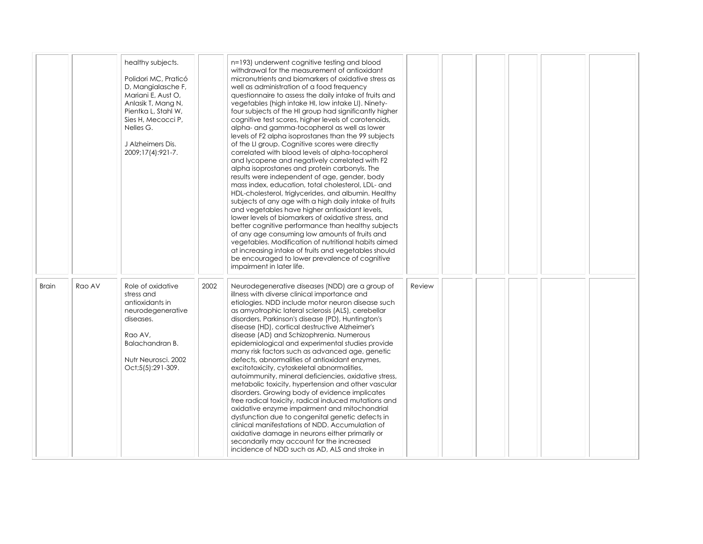|              |        | healthy subjects.<br>Polidori MC, Praticó<br>D, Mangialasche F,<br>Mariani E, Aust O,<br>Anlasik T, Mang N,<br>Pientka L, Stahl W,<br>Sies H, Mecocci P,<br>Nelles G.<br>J Alzheimers Dis.<br>2009;17(4):921-7. |      | n=193) underwent cognitive testing and blood<br>withdrawal for the measurement of antioxidant<br>micronutrients and biomarkers of oxidative stress as<br>well as administration of a food frequency<br>questionnaire to assess the daily intake of fruits and<br>vegetables (high intake HI, low intake LI). Ninety-<br>four subjects of the HI group had significantly higher<br>cognitive test scores, higher levels of carotenoids,<br>alpha- and gamma-tocopherol as well as lower<br>levels of F2 alpha isoprostanes than the 99 subjects<br>of the LI group. Cognitive scores were directly<br>correlated with blood levels of alpha-tocopherol<br>and lycopene and negatively correlated with F2<br>alpha isoprostanes and protein carbonyls. The<br>results were independent of age, gender, body<br>mass index, education, total cholesterol, LDL- and<br>HDL-cholesterol, triglycerides, and albumin. Healthy<br>subjects of any age with a high daily intake of fruits<br>and vegetables have higher antioxidant levels,<br>lower levels of biomarkers of oxidative stress, and<br>better cognitive performance than healthy subjects<br>of any age consuming low amounts of fruits and<br>vegetables. Modification of nutritional habits aimed<br>at increasing intake of fruits and vegetables should<br>be encouraged to lower prevalence of cognitive<br>impairment in later life. |        |  |  |  |
|--------------|--------|-----------------------------------------------------------------------------------------------------------------------------------------------------------------------------------------------------------------|------|---------------------------------------------------------------------------------------------------------------------------------------------------------------------------------------------------------------------------------------------------------------------------------------------------------------------------------------------------------------------------------------------------------------------------------------------------------------------------------------------------------------------------------------------------------------------------------------------------------------------------------------------------------------------------------------------------------------------------------------------------------------------------------------------------------------------------------------------------------------------------------------------------------------------------------------------------------------------------------------------------------------------------------------------------------------------------------------------------------------------------------------------------------------------------------------------------------------------------------------------------------------------------------------------------------------------------------------------------------------------------------------------------|--------|--|--|--|
| <b>Brain</b> | Rao AV | Role of oxidative<br>stress and<br>antioxidants in<br>neurodegenerative<br>diseases.<br>Rao AV,<br>Balachandran B.<br>Nutr Neurosci, 2002<br>Oct;5(5):291-309.                                                  | 2002 | Neurodegenerative diseases (NDD) are a group of<br>illness with diverse clinical importance and<br>etiologies. NDD include motor neuron disease such<br>as amyotrophic lateral sclerosis (ALS), cerebellar<br>disorders, Parkinson's disease (PD), Huntington's<br>disease (HD), cortical destructive Alzheimer's<br>disease (AD) and Schizophrenia. Numerous<br>epidemiological and experimental studies provide<br>many risk factors such as advanced age, genetic<br>defects, abnormalities of antioxidant enzymes,<br>excitotoxicity, cytoskeletal abnormalities,<br>autoimmunity, mineral deficiencies, oxidative stress,<br>metabolic toxicity, hypertension and other vascular<br>disorders. Growing body of evidence implicates<br>free radical toxicity, radical induced mutations and<br>oxidative enzyme impairment and mitochondrial<br>dysfunction due to congenital genetic defects in<br>clinical manifestations of NDD. Accumulation of<br>oxidative damage in neurons either primarily or<br>secondarily may account for the increased<br>incidence of NDD such as AD, ALS and stroke in                                                                                                                                                                                                                                                                                         | Review |  |  |  |